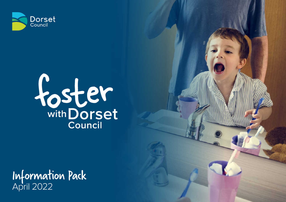



Information Pack April 2022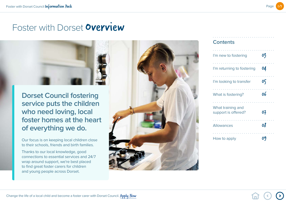

## Foster with Dorset **Overview**

**Dorset Council fostering service puts the children who need loving, local foster homes at the heart of everything we do.** 

Our focus is on keeping local children close to their schools, friends and birth families.

Thanks to our local knowledge, good connections to essential services and 24/7 wrap around support, we're best placed to find great foster carers for children and young people across Dorset.



#### **Contents**

| I'm new to fostering                     | 03 |
|------------------------------------------|----|
| I'm returning to fostering               | 04 |
| I'm looking to transfer                  | 05 |
| What is fostering?                       | 06 |
| What training and<br>support is offered? | 07 |
| <b>Allowances</b>                        | 08 |
| How to apply                             |    |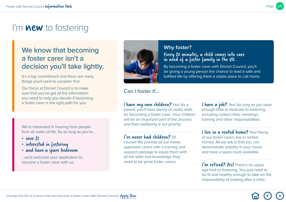## <span id="page-2-0"></span>I'm **new** to fostering

### **We know that becoming a foster carer isn't a decision you'll take lightly.**

It's a big commitment and there are many things you'll want to consider first.

Our focus at Dorset Council is to make sure that you've got all the information you need to help you decide if becoming a foster carer is the right path for you.

We're interested in hearing from people from all walks of life. So as long as you're…

- over 21
- interested in fostering
- and have a spare bedroom

…we'd welcome your application to become a foster carer with us.



#### **Why foster?**

#### Every 20 minutes, a child comes into care in need of a foster family in the UK.

By becoming a foster carer with Dorset Council, you'll be giving a young person the chance to lead a safe and fulfilled life by offering them a stable place to call home.

#### **Can I foster if…**

I have my own children? Yes! As a parent, you'll have plenty of useful skills for becoming a foster carer. Your children will be an important part of the process and their wellbeing is our priority.

#### I've never had children? Of

course! We provide all our newly approved carers with a training and support package to equip them with all the skills and knowledge they need to be great foster carers.

I have a job? Yes! As long as you have enough time to dedicate to fostering, including contact time, meetings, training and other responsibilities.

I live in a rented home? Yes! Plenty of our foster carers live in rented homes. All we ask is that you can demonstrate stability in your home and have a spare room available.

I'm retired? Yes! There's no upper age limit to fostering. You just need to be fit and healthy enough to take on the responsibility of looking after a child.

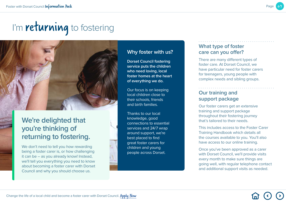## <span id="page-3-0"></span>I'm **returning** to fostering

### **We're delighted that you're thinking of returning to fostering.**

We don't need to tell you how rewarding being a foster carer is, or how challenging it can be – as you already know! Instead, we'll tell you everything you need to know about becoming a foster carer with Dorset Council and why you should choose us.

#### **Why foster with us?**

**Dorset Council fostering service puts the children who need loving, local foster homes at the heart of everything we do.**

Our focus is on keeping local children close to their schools, friends and birth families.

Thanks to our local knowledge, good connections to essential services and 24/7 wrap around support, we're best placed to find great foster carers for children and young people across Dorset.

#### **What type of foster care can you offer?**

There are many different types of foster care. At Dorset Council, we have particular need for foster carers for teenagers, young people with complex needs and sibling groups.

#### **Our training and support package**

Our foster carers get an extensive training and support package throughout their fostering journey that's tailored to their needs.

This includes access to the Foster Carer Training Handbook which details all the courses available to you. You'll also have access to our online training.

Once you've been approved as a carer with Dorset Council, we'll provide visits every month to make sure things are going well, with regular telephone contact and additional support visits as needed.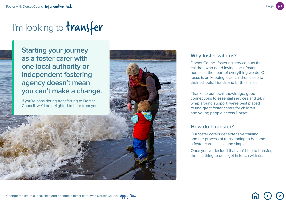## <span id="page-4-0"></span>I'm looking to transfer

**Starting your journey as a foster carer with one local authority or independent fostering agency doesn't mean you can't make a change.** 

If you're considering transferring to Dorset Council, we'd be delighted to hear from you.



#### **Why foster with us?**

Dorset Council fostering service puts the children who need loving, local foster homes at the heart of everything we do. Our focus is on keeping local children close to their schools, friends and birth families.

Thanks to our local knowledge, good connections to essential services and 24/7 wrap around support, we're best placed to find great foster carers for children and young people across Dorset.

#### **How do I transfer?**

Our foster carers get extensive training and the process of transitioning to become a foster carer is nice and simple.

Once you've decided that you'd like to transfer, the first thing to do is get in touch with us.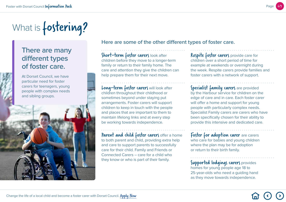

# <span id="page-5-0"></span>What is **fostering?**

### **There are many different types of foster care.**

At Dorset Council, we have particular need for foster carers for teenagers, young people with complex needs and sibling groups.

**Here are some of the other different types of foster care.**

Short-term foster carers look after children before they move to a longer-term family or return to their family home. The care and attention they give the children can help prepare them for their next move.

Long-term foster carers will look after children throughout their childhood or sometimes beyond under staying put arrangements. Foster carers will support children to keep in touch with the people and places that are important to them to maintain lifelong links and at every step be working towards independence.

Parent and child foster carers offer a home to both parent and child, providing extra help and care to support parents to successfully care for their child. Family and Friends or Connected Carers – care for a child who they know or who is part of their family.

Respite foster carers provide care for children over a short period of time for example at weekends or overnight during the week. Respite carers provide families and foster carers with a network of support.

Specialist family carers are provided by the Harbour service for children on the edge of care and in care. Each foster carer will offer a home and support for young people with particularly complex needs. Specialist Family carers are carers who have been specifically chosen for their ability to provide this intensive and dedicated care.

Foster for adoption carer are carers who care for babies and young children where the plan may be for adoption or return to their birth family.

Supported lodgings carers provides homes for young people age 18 to 25-year-olds who need a guiding hand as they move towards independence.

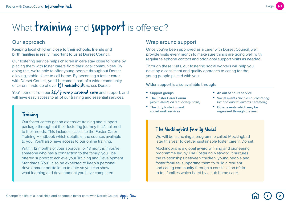# <span id="page-6-0"></span>What training and support is offered?

#### **Our approach**

#### **Keeping local children close to their schools, friends and birth families is really important to us at Dorset Council.**

Our fostering service helps children in care stay close to home by placing them with foster carers from their local communities. By doing this, we're able to offer young people throughout Dorset a loving, stable place to call home. By becoming a foster carer with Dorset Council, you'll become a part of a wider community of carers made up of over 191 households across Dorset.

You'll benefit from our 24/7 wrap around care and support, and will have easy access to all of our training and essential services.

#### Training

Our foster carers get an extensive training and support package throughout their fostering journey that's tailored to their needs. This includes access to the Foster Carer Training Handbook which details all the courses available to you. You'll also have access to our online training.

Within 12 months of your approval, or 18 months if you're someone who has a connection to the family, you'll be offered support to achieve your Training and Development Standards. You'll also be expected to keep a personal development portfolio up to date so you can show what learning and development you have completed.

#### **Wrap around support**

Once you've been approved as a carer with Dorset Council, we'll provide visits every month to make sure things are going well, with regular telephone contact and additional support visits as needed.

Through these visits, our fostering social workers will help you develop a consistent and quality approach to caring for the young people placed with you.

#### **Wider support is also available through:**

- **Support groups**
- **The Foster Carer Forum** *(which meets on a quarterly basis)*
- **The duty fostering and social work services**
- **An out of hours service**
- **Social events** *(such as our fostering fair and annual awards ceremony)*
- **Other events which may be organised through the year**

#### The Mockingbird Family Model

We will be launching a programme called Mockingbird later this year to deliver sustainable foster care in Dorset.

Mockingbird is a global award winning and pioneering programme led by The Fostering Network. It nurtures the relationships between children, young people and foster families, supporting them to build a resilient and caring community through a constellation of six to ten families which is led by a hub home carer.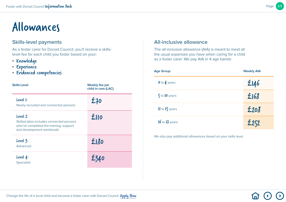## <span id="page-7-0"></span>Allowances

#### **Skills-level payments**

As a foster carer for Dorset Council, you'll receive a skillslevel fee for each child you foster based on your:

- Knowledge
- Experience
- Evidenced competencies

| <b>Skills Level</b>                                                                                                         | <b>Weekly fee per</b><br>child in care (LAC) |
|-----------------------------------------------------------------------------------------------------------------------------|----------------------------------------------|
| Level 1:<br>Newly recruited and connected persons                                                                           | £70                                          |
| Level 2:<br>Skilled (also includes connected persons<br>who've completed the training, support<br>and development workbook) | £110                                         |
| Level 3:<br>Advanced                                                                                                        | £180                                         |
| Level 4:<br><b>Specialist</b>                                                                                               |                                              |

#### **All-inclusive allowance**

The all-inclusive allowance (AIA) is meant to meet all the usual expenses you have when caring for a child as a foster carer. We pay AIA in 4 age bands:

| <b>Age Group</b>   | <b>Weekly AIA</b> |  |
|--------------------|-------------------|--|
| 0 to 4 years       | £146              |  |
| $5$ to $10$ years  | £168              |  |
| II to 15 years     | £208              |  |
| $16$ to $17$ years | £252              |  |

*We also pay additional allowances based on your skills level.*